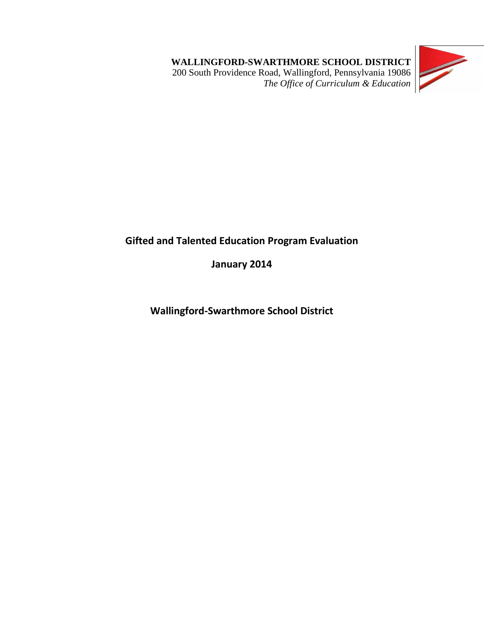**WALLINGFORD-SWARTHMORE SCHOOL DISTRICT** 200 South Providence Road, Wallingford, Pennsylvania 19086 *The Office of Curriculum & Education*



# **Gifted and Talented Education Program Evaluation**

**January 2014**

**Wallingford-Swarthmore School District**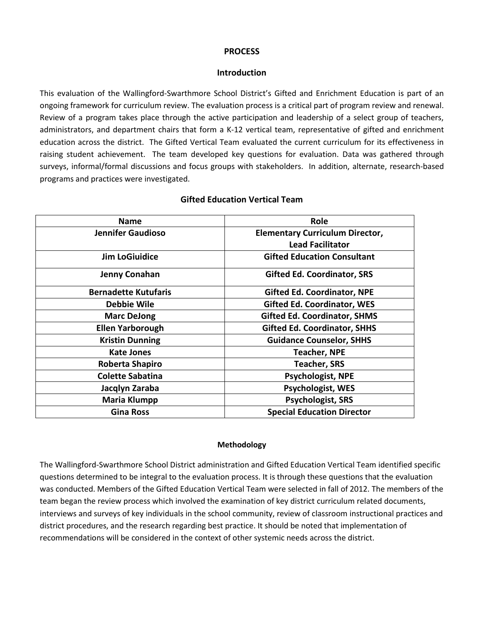#### **PROCESS**

#### **Introduction**

This evaluation of the Wallingford-Swarthmore School District's Gifted and Enrichment Education is part of an ongoing framework for curriculum review. The evaluation process is a critical part of program review and renewal. Review of a program takes place through the active participation and leadership of a select group of teachers, administrators, and department chairs that form a K-12 vertical team, representative of gifted and enrichment education across the district. The Gifted Vertical Team evaluated the current curriculum for its effectiveness in raising student achievement. The team developed key questions for evaluation. Data was gathered through surveys, informal/formal discussions and focus groups with stakeholders. In addition, alternate, research-based programs and practices were investigated.

| <b>Name</b>                 | <b>Role</b>                            |
|-----------------------------|----------------------------------------|
| <b>Jennifer Gaudioso</b>    | <b>Elementary Curriculum Director,</b> |
|                             | <b>Lead Facilitator</b>                |
| <b>Jim LoGiuidice</b>       | <b>Gifted Education Consultant</b>     |
| <b>Jenny Conahan</b>        | <b>Gifted Ed. Coordinator, SRS</b>     |
| <b>Bernadette Kutufaris</b> | <b>Gifted Ed. Coordinator, NPE</b>     |
| <b>Debbie Wile</b>          | <b>Gifted Ed. Coordinator, WES</b>     |
| <b>Marc DeJong</b>          | <b>Gifted Ed. Coordinator, SHMS</b>    |
| <b>Ellen Yarborough</b>     | <b>Gifted Ed. Coordinator, SHHS</b>    |
| <b>Kristin Dunning</b>      | <b>Guidance Counselor, SHHS</b>        |
| <b>Kate Jones</b>           | <b>Teacher, NPE</b>                    |
| Roberta Shapiro             | <b>Teacher, SRS</b>                    |
| <b>Colette Sabatina</b>     | Psychologist, NPE                      |
| Jacqlyn Zaraba              | <b>Psychologist, WES</b>               |
| <b>Maria Klumpp</b>         | <b>Psychologist, SRS</b>               |
| <b>Gina Ross</b>            | <b>Special Education Director</b>      |

#### **Gifted Education Vertical Team**

#### **Methodology**

The Wallingford-Swarthmore School District administration and Gifted Education Vertical Team identified specific questions determined to be integral to the evaluation process. It is through these questions that the evaluation was conducted. Members of the Gifted Education Vertical Team were selected in fall of 2012. The members of the team began the review process which involved the examination of key district curriculum related documents, interviews and surveys of key individuals in the school community, review of classroom instructional practices and district procedures, and the research regarding best practice. It should be noted that implementation of recommendations will be considered in the context of other systemic needs across the district.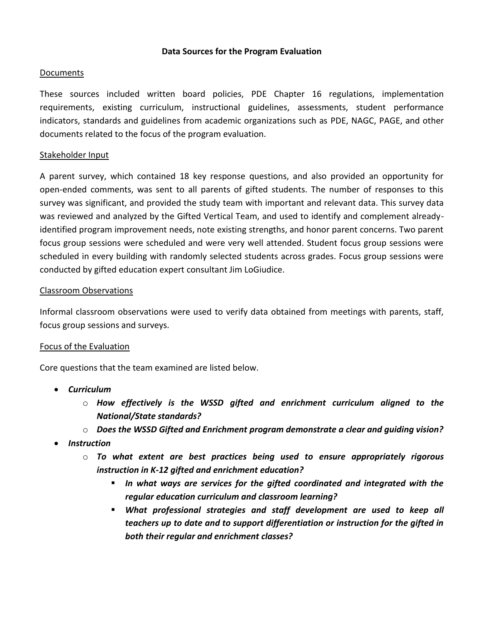#### **Data Sources for the Program Evaluation**

#### Documents

These sources included written board policies, PDE Chapter 16 regulations, implementation requirements, existing curriculum, instructional guidelines, assessments, student performance indicators, standards and guidelines from academic organizations such as PDE, NAGC, PAGE, and other documents related to the focus of the program evaluation.

#### Stakeholder Input

A parent survey, which contained 18 key response questions, and also provided an opportunity for open-ended comments, was sent to all parents of gifted students. The number of responses to this survey was significant, and provided the study team with important and relevant data. This survey data was reviewed and analyzed by the Gifted Vertical Team, and used to identify and complement alreadyidentified program improvement needs, note existing strengths, and honor parent concerns. Two parent focus group sessions were scheduled and were very well attended. Student focus group sessions were scheduled in every building with randomly selected students across grades. Focus group sessions were conducted by gifted education expert consultant Jim LoGiudice.

#### Classroom Observations

Informal classroom observations were used to verify data obtained from meetings with parents, staff, focus group sessions and surveys.

#### Focus of the Evaluation

Core questions that the team examined are listed below.

- *Curriculum*
	- o *How effectively is the WSSD gifted and enrichment curriculum aligned to the National/State standards?*
	- o *Does the WSSD Gifted and Enrichment program demonstrate a clear and guiding vision?*
- *Instruction*
	- o *To what extent are best practices being used to ensure appropriately rigorous instruction in K-12 gifted and enrichment education?*
		- *In what ways are services for the gifted coordinated and integrated with the regular education curriculum and classroom learning?*
		- *What professional strategies and staff development are used to keep all teachers up to date and to support differentiation or instruction for the gifted in both their regular and enrichment classes?*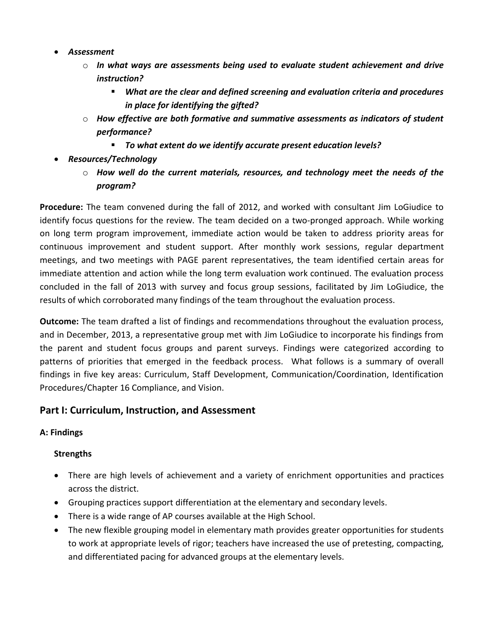- *Assessment*
	- o *In what ways are assessments being used to evaluate student achievement and drive instruction?*
		- *What are the clear and defined screening and evaluation criteria and procedures in place for identifying the gifted?*
	- o *How effective are both formative and summative assessments as indicators of student performance?*
		- *To what extent do we identify accurate present education levels?*
- *Resources/Technology*
	- o *How well do the current materials, resources, and technology meet the needs of the program?*

**Procedure:** The team convened during the fall of 2012, and worked with consultant Jim LoGiudice to identify focus questions for the review. The team decided on a two-pronged approach. While working on long term program improvement, immediate action would be taken to address priority areas for continuous improvement and student support. After monthly work sessions, regular department meetings, and two meetings with PAGE parent representatives, the team identified certain areas for immediate attention and action while the long term evaluation work continued. The evaluation process concluded in the fall of 2013 with survey and focus group sessions, facilitated by Jim LoGiudice, the results of which corroborated many findings of the team throughout the evaluation process.

**Outcome:** The team drafted a list of findings and recommendations throughout the evaluation process, and in December, 2013, a representative group met with Jim LoGiudice to incorporate his findings from the parent and student focus groups and parent surveys. Findings were categorized according to patterns of priorities that emerged in the feedback process. What follows is a summary of overall findings in five key areas: Curriculum, Staff Development, Communication/Coordination, Identification Procedures/Chapter 16 Compliance, and Vision.

## **Part I: Curriculum, Instruction, and Assessment**

### **A: Findings**

- There are high levels of achievement and a variety of enrichment opportunities and practices across the district.
- Grouping practices support differentiation at the elementary and secondary levels.
- There is a wide range of AP courses available at the High School.
- The new flexible grouping model in elementary math provides greater opportunities for students to work at appropriate levels of rigor; teachers have increased the use of pretesting, compacting, and differentiated pacing for advanced groups at the elementary levels.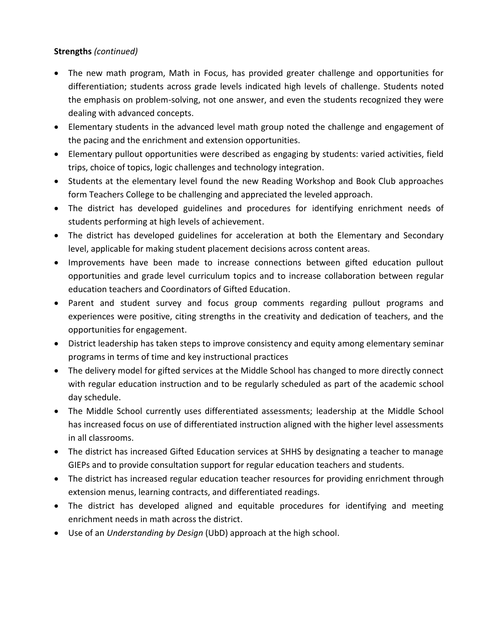## **Strengths** *(continued)*

- The new math program, Math in Focus, has provided greater challenge and opportunities for differentiation; students across grade levels indicated high levels of challenge. Students noted the emphasis on problem-solving, not one answer, and even the students recognized they were dealing with advanced concepts.
- Elementary students in the advanced level math group noted the challenge and engagement of the pacing and the enrichment and extension opportunities.
- Elementary pullout opportunities were described as engaging by students: varied activities, field trips, choice of topics, logic challenges and technology integration.
- Students at the elementary level found the new Reading Workshop and Book Club approaches form Teachers College to be challenging and appreciated the leveled approach.
- The district has developed guidelines and procedures for identifying enrichment needs of students performing at high levels of achievement.
- The district has developed guidelines for acceleration at both the Elementary and Secondary level, applicable for making student placement decisions across content areas.
- Improvements have been made to increase connections between gifted education pullout opportunities and grade level curriculum topics and to increase collaboration between regular education teachers and Coordinators of Gifted Education.
- Parent and student survey and focus group comments regarding pullout programs and experiences were positive, citing strengths in the creativity and dedication of teachers, and the opportunities for engagement.
- District leadership has taken steps to improve consistency and equity among elementary seminar programs in terms of time and key instructional practices
- The delivery model for gifted services at the Middle School has changed to more directly connect with regular education instruction and to be regularly scheduled as part of the academic school day schedule.
- The Middle School currently uses differentiated assessments; leadership at the Middle School has increased focus on use of differentiated instruction aligned with the higher level assessments in all classrooms.
- The district has increased Gifted Education services at SHHS by designating a teacher to manage GIEPs and to provide consultation support for regular education teachers and students.
- The district has increased regular education teacher resources for providing enrichment through extension menus, learning contracts, and differentiated readings.
- The district has developed aligned and equitable procedures for identifying and meeting enrichment needs in math across the district.
- Use of an *Understanding by Design* (UbD) approach at the high school.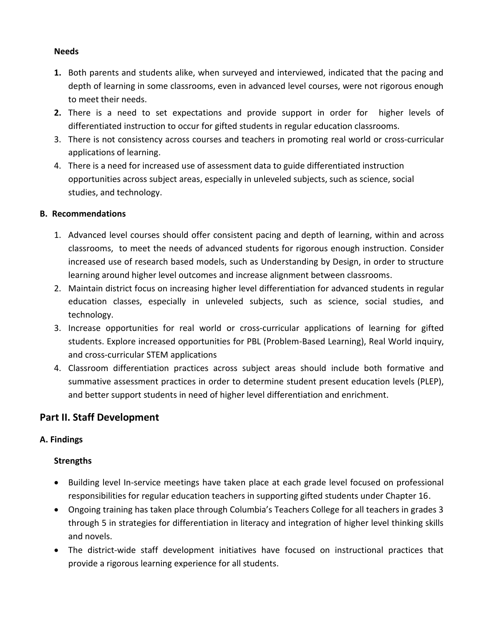#### **Needs**

- **1.** Both parents and students alike, when surveyed and interviewed, indicated that the pacing and depth of learning in some classrooms, even in advanced level courses, were not rigorous enough to meet their needs.
- **2.** There is a need to set expectations and provide support in order for higher levels of differentiated instruction to occur for gifted students in regular education classrooms.
- 3. There is not consistency across courses and teachers in promoting real world or cross-curricular applications of learning.
- 4. There is a need for increased use of assessment data to guide differentiated instruction opportunities across subject areas, especially in unleveled subjects, such as science, social studies, and technology.

### **B. Recommendations**

- 1. Advanced level courses should offer consistent pacing and depth of learning, within and across classrooms, to meet the needs of advanced students for rigorous enough instruction. Consider increased use of research based models, such as Understanding by Design, in order to structure learning around higher level outcomes and increase alignment between classrooms.
- 2. Maintain district focus on increasing higher level differentiation for advanced students in regular education classes, especially in unleveled subjects, such as science, social studies, and technology.
- 3. Increase opportunities for real world or cross-curricular applications of learning for gifted students. Explore increased opportunities for PBL (Problem-Based Learning), Real World inquiry, and cross-curricular STEM applications
- 4. Classroom differentiation practices across subject areas should include both formative and summative assessment practices in order to determine student present education levels (PLEP), and better support students in need of higher level differentiation and enrichment.

## **Part II. Staff Development**

## **A. Findings**

- Building level In-service meetings have taken place at each grade level focused on professional responsibilities for regular education teachers in supporting gifted students under Chapter 16.
- Ongoing training has taken place through Columbia's Teachers College for all teachers in grades 3 through 5 in strategies for differentiation in literacy and integration of higher level thinking skills and novels.
- The district-wide staff development initiatives have focused on instructional practices that provide a rigorous learning experience for all students.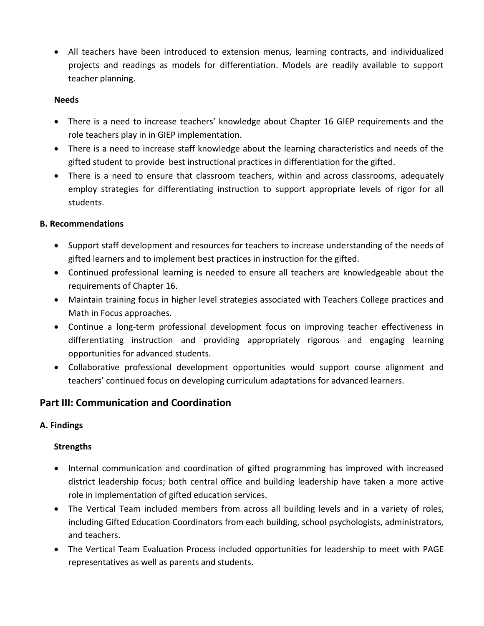All teachers have been introduced to extension menus, learning contracts, and individualized projects and readings as models for differentiation. Models are readily available to support teacher planning.

#### **Needs**

- There is a need to increase teachers' knowledge about Chapter 16 GIEP requirements and the role teachers play in in GIEP implementation.
- There is a need to increase staff knowledge about the learning characteristics and needs of the gifted student to provide best instructional practices in differentiation for the gifted.
- There is a need to ensure that classroom teachers, within and across classrooms, adequately employ strategies for differentiating instruction to support appropriate levels of rigor for all students.

#### **B. Recommendations**

- Support staff development and resources for teachers to increase understanding of the needs of gifted learners and to implement best practices in instruction for the gifted.
- Continued professional learning is needed to ensure all teachers are knowledgeable about the requirements of Chapter 16.
- Maintain training focus in higher level strategies associated with Teachers College practices and Math in Focus approaches.
- Continue a long-term professional development focus on improving teacher effectiveness in differentiating instruction and providing appropriately rigorous and engaging learning opportunities for advanced students.
- Collaborative professional development opportunities would support course alignment and teachers' continued focus on developing curriculum adaptations for advanced learners.

## **Part III: Communication and Coordination**

### **A. Findings**

- Internal communication and coordination of gifted programming has improved with increased district leadership focus; both central office and building leadership have taken a more active role in implementation of gifted education services.
- The Vertical Team included members from across all building levels and in a variety of roles, including Gifted Education Coordinators from each building, school psychologists, administrators, and teachers.
- The Vertical Team Evaluation Process included opportunities for leadership to meet with PAGE representatives as well as parents and students.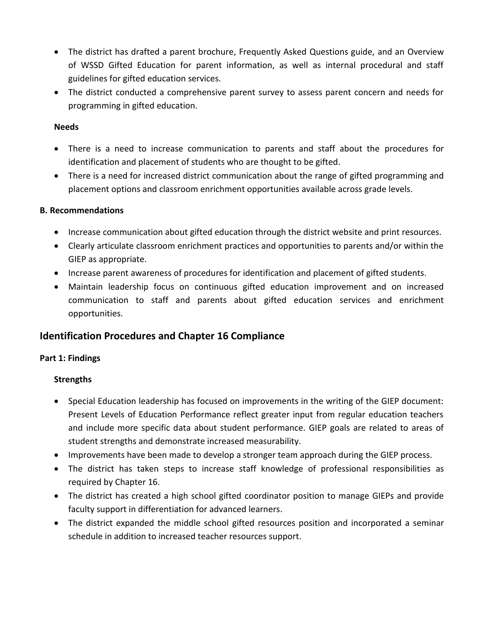- The district has drafted a parent brochure, Frequently Asked Questions guide, and an Overview of WSSD Gifted Education for parent information, as well as internal procedural and staff guidelines for gifted education services.
- The district conducted a comprehensive parent survey to assess parent concern and needs for programming in gifted education.

#### **Needs**

- There is a need to increase communication to parents and staff about the procedures for identification and placement of students who are thought to be gifted.
- There is a need for increased district communication about the range of gifted programming and placement options and classroom enrichment opportunities available across grade levels.

### **B. Recommendations**

- Increase communication about gifted education through the district website and print resources.
- Clearly articulate classroom enrichment practices and opportunities to parents and/or within the GIEP as appropriate.
- Increase parent awareness of procedures for identification and placement of gifted students.
- Maintain leadership focus on continuous gifted education improvement and on increased communication to staff and parents about gifted education services and enrichment opportunities.

## **Identification Procedures and Chapter 16 Compliance**

## **Part 1: Findings**

- Special Education leadership has focused on improvements in the writing of the GIEP document: Present Levels of Education Performance reflect greater input from regular education teachers and include more specific data about student performance. GIEP goals are related to areas of student strengths and demonstrate increased measurability.
- Improvements have been made to develop a stronger team approach during the GIEP process.
- The district has taken steps to increase staff knowledge of professional responsibilities as required by Chapter 16.
- The district has created a high school gifted coordinator position to manage GIEPs and provide faculty support in differentiation for advanced learners.
- The district expanded the middle school gifted resources position and incorporated a seminar schedule in addition to increased teacher resources support.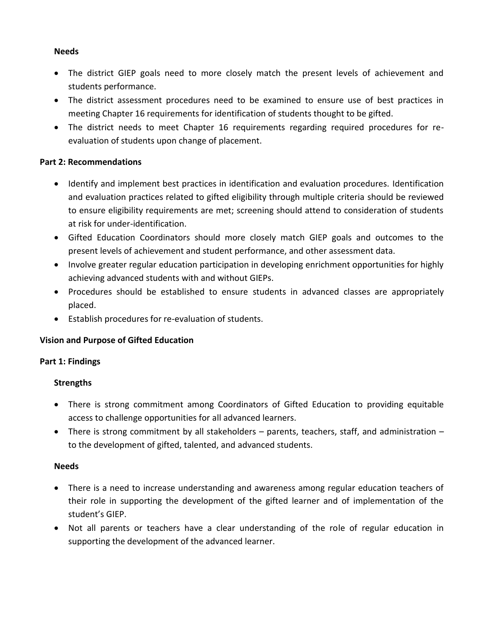#### **Needs**

- The district GIEP goals need to more closely match the present levels of achievement and students performance.
- The district assessment procedures need to be examined to ensure use of best practices in meeting Chapter 16 requirements for identification of students thought to be gifted.
- The district needs to meet Chapter 16 requirements regarding required procedures for reevaluation of students upon change of placement.

#### **Part 2: Recommendations**

- Identify and implement best practices in identification and evaluation procedures. Identification and evaluation practices related to gifted eligibility through multiple criteria should be reviewed to ensure eligibility requirements are met; screening should attend to consideration of students at risk for under-identification.
- Gifted Education Coordinators should more closely match GIEP goals and outcomes to the present levels of achievement and student performance, and other assessment data.
- Involve greater regular education participation in developing enrichment opportunities for highly achieving advanced students with and without GIEPs.
- Procedures should be established to ensure students in advanced classes are appropriately placed.
- Establish procedures for re-evaluation of students.

### **Vision and Purpose of Gifted Education**

#### **Part 1: Findings**

#### **Strengths**

- There is strong commitment among Coordinators of Gifted Education to providing equitable access to challenge opportunities for all advanced learners.
- There is strong commitment by all stakeholders  $-$  parents, teachers, staff, and administration  $$ to the development of gifted, talented, and advanced students.

#### **Needs**

- There is a need to increase understanding and awareness among regular education teachers of their role in supporting the development of the gifted learner and of implementation of the student's GIEP.
- Not all parents or teachers have a clear understanding of the role of regular education in supporting the development of the advanced learner.